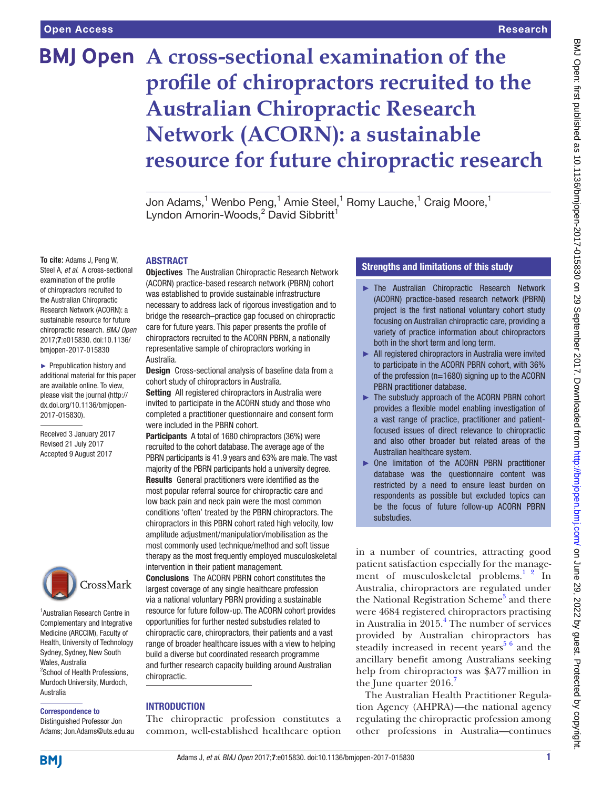# **BMJ Open** A cross-sectional examination of the **profile of chiropractors recruited to the Australian Chiropractic Research Network (ACORN): a sustainable resource for future chiropractic research**

Jon Adams,<sup>1</sup> Wenbo Peng,<sup>1</sup> Amie Steel,<sup>1</sup> Romy Lauche,<sup>1</sup> Craig Moore,<sup>1</sup> Lyndon Amorin-Woods,<sup>2</sup> David Sibbritt<sup>1</sup>

#### **ABSTRACT**

**To cite:** Adams J, Peng W, Steel A, *et al*. A cross-sectional examination of the profile of chiropractors recruited to the Australian Chiropractic Research Network (ACORN): a sustainable resource for future chiropractic research. *BMJ Open* 2017;7:e015830. doi:10.1136/ bmjopen-2017-015830

► Prepublication history and additional material for this paper are available online. To view, please visit the journal ([http://](http://dx.doi.org/10.1136/bmjopen-2017-015830) [dx.doi.org/10.1136/bmjopen-](http://dx.doi.org/10.1136/bmjopen-2017-015830)[2017-015830\)](http://dx.doi.org/10.1136/bmjopen-2017-015830).

Received 3 January 2017 Revised 21 July 2017 Accepted 9 August 2017



1 Australian Research Centre in Complementary and Integrative Medicine (ARCCIM), Faculty of Health, University of Technology Sydney, Sydney, New South Wales, Australia 2 School of Health Professions, Murdoch University, Murdoch, Australia

# Correspondence to

Distinguished Professor Jon Adams; Jon.Adams@uts.edu.au

**Objectives** The Australian Chiropractic Research Network (ACORN) practice-based research network (PBRN) cohort was established to provide sustainable infrastructure necessary to address lack of rigorous investigation and to bridge the research–practice gap focused on chiropractic care for future years. This paper presents the profile of chiropractors recruited to the ACORN PBRN, a nationally representative sample of chiropractors working in Australia.

**Design** Cross-sectional analysis of baseline data from a cohort study of chiropractors in Australia.

Setting All registered chiropractors in Australia were invited to participate in the ACORN study and those who completed a practitioner questionnaire and consent form were included in the PBRN cohort.

Participants A total of 1680 chiropractors (36%) were recruited to the cohort database. The average age of the PBRN participants is 41.9 years and 63% are male. The vast majority of the PBRN participants hold a university degree. Results General practitioners were identified as the most popular referral source for chiropractic care and low back pain and neck pain were the most common conditions 'often' treated by the PBRN chiropractors. The chiropractors in this PBRN cohort rated high velocity, low amplitude adjustment/manipulation/mobilisation as the most commonly used technique/method and soft tissue therapy as the most frequently employed musculoskeletal intervention in their patient management.

Conclusions The ACORN PBRN cohort constitutes the largest coverage of any single healthcare profession via a national voluntary PBRN providing a sustainable resource for future follow-up. The ACORN cohort provides opportunities for further nested substudies related to chiropractic care, chiropractors, their patients and a vast range of broader healthcare issues with a view to helping build a diverse but coordinated research programme and further research capacity building around Australian chiropractic.

### **INTRODUCTION**

The chiropractic profession constitutes a common, well-established healthcare option

# Strengths and limitations of this study

- ► The Australian Chiropractic Research Network (ACORN) practice-based research network (PBRN) project is the first national voluntary cohort study focusing on Australian chiropractic care, providing a variety of practice information about chiropractors both in the short term and long term.
- ► All registered chiropractors in Australia were invited to participate in the ACORN PBRN cohort, with 36% of the profession (n=1680) signing up to the ACORN PBRN practitioner database.
- ► The substudy approach of the ACORN PBRN cohort provides a flexible model enabling investigation of a vast range of practice, practitioner and patientfocused issues of direct relevance to chiropractic and also other broader but related areas of the Australian healthcare system.
- ► One limitation of the ACORN PBRN practitioner database was the questionnaire content was restricted by a need to ensure least burden on respondents as possible but excluded topics can be the focus of future follow-up ACORN PBRN substudies.

in a number of countries, attracting good patient satisfaction especially for the management of musculoskeletal problems.<sup>1</sup> <sup>2</sup> In Australia, chiropractors are regulated under the National Registration Scheme<sup>[3](#page-7-1)</sup> and there were 4684 registered chiropractors practising in Australia in 2015.<sup>[4](#page-7-2)</sup> The number of services provided by Australian chiropractors has steadily increased in recent years<sup>56</sup> and the ancillary benefit among Australians seeking help from chiropractors was \$A77million in the June quarter 2016.<sup>7</sup>

The Australian Health Practitioner Regulation Agency (AHPRA)—the national agency regulating the chiropractic profession among other professions in Australia—continues

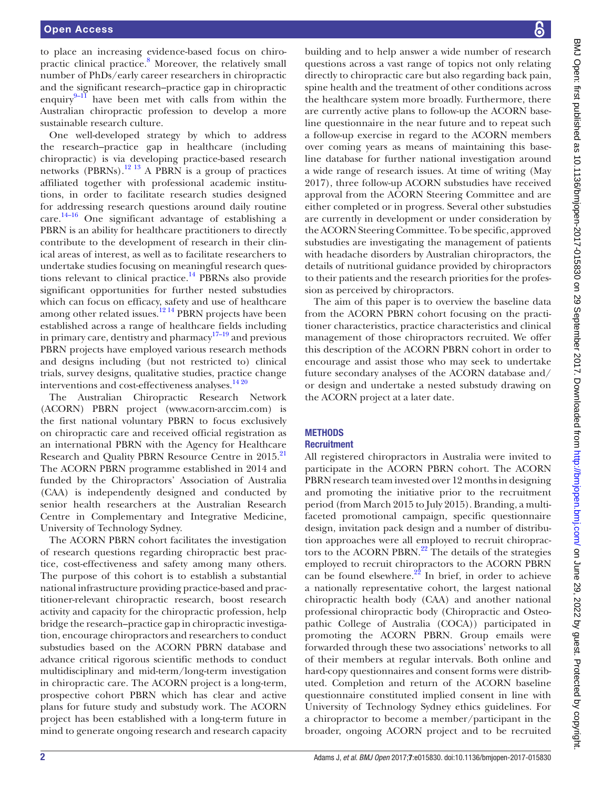to place an increasing evidence-based focus on chiro-practic clinical practice.<sup>[8](#page-7-5)</sup> Moreover, the relatively small number of PhDs/early career researchers in chiropractic and the significant research–practice gap in chiropractic enquiry $9-11$  have been met with calls from within the Australian chiropractic profession to develop a more sustainable research culture.

One well-developed strategy by which to address the research–practice gap in healthcare (including chiropractic) is via developing practice-based research networks (PBRNs).<sup>12 13</sup> A PBRN is a group of practices affiliated together with professional academic institutions, in order to facilitate research studies designed for addressing research questions around daily routine care. [14–16](#page-7-8) One significant advantage of establishing a PBRN is an ability for healthcare practitioners to directly contribute to the development of research in their clinical areas of interest, as well as to facilitate researchers to undertake studies focusing on meaningful research questions relevant to clinical practice.<sup>14</sup> PBRNs also provide significant opportunities for further nested substudies which can focus on efficacy, safety and use of healthcare among other related issues.<sup>[12 14](#page-7-7)</sup> PBRN projects have been established across a range of healthcare fields including in primary care, dentistry and pharmacy<sup>[17–19](#page-7-9)</sup> and previous PBRN projects have employed various research methods and designs including (but not restricted to) clinical trials, survey designs, qualitative studies, practice change interventions and cost-effectiveness analyses.<sup>[14 20](#page-7-8)</sup>

The Australian Chiropractic Research Network (ACORN) PBRN project [\(www.acorn-arccim.com\)](www.acorn-arccim.com) is the first national voluntary PBRN to focus exclusively on chiropractic care and received official registration as an international PBRN with the Agency for Healthcare Research and Quality PBRN Resource Centre in 2015.<sup>21</sup> The ACORN PBRN programme established in 2014 and funded by the Chiropractors' Association of Australia (CAA) is independently designed and conducted by senior health researchers at the Australian Research Centre in Complementary and Integrative Medicine, University of Technology Sydney.

The ACORN PBRN cohort facilitates the investigation of research questions regarding chiropractic best practice, cost-effectiveness and safety among many others. The purpose of this cohort is to establish a substantial national infrastructure providing practice-based and practitioner-relevant chiropractic research, boost research activity and capacity for the chiropractic profession, help bridge the research–practice gap in chiropractic investigation, encourage chiropractors and researchers to conduct substudies based on the ACORN PBRN database and advance critical rigorous scientific methods to conduct multidisciplinary and mid-term/long-term investigation in chiropractic care. The ACORN project is a long-term, prospective cohort PBRN which has clear and active plans for future study and substudy work. The ACORN project has been established with a long-term future in mind to generate ongoing research and research capacity

building and to help answer a wide number of research questions across a vast range of topics not only relating directly to chiropractic care but also regarding back pain, spine health and the treatment of other conditions across the healthcare system more broadly. Furthermore, there are currently active plans to follow-up the ACORN baseline questionnaire in the near future and to repeat such a follow-up exercise in regard to the ACORN members over coming years as means of maintaining this baseline database for further national investigation around a wide range of research issues. At time of writing (May 2017), three follow-up ACORN substudies have received approval from the ACORN Steering Committee and are either completed or in progress. Several other substudies are currently in development or under consideration by the ACORN Steering Committee. To be specific, approved substudies are investigating the management of patients with headache disorders by Australian chiropractors, the details of nutritional guidance provided by chiropractors to their patients and the research priorities for the profession as perceived by chiropractors.

The aim of this paper is to overview the baseline data from the ACORN PBRN cohort focusing on the practitioner characteristics, practice characteristics and clinical management of those chiropractors recruited. We offer this description of the ACORN PBRN cohort in order to encourage and assist those who may seek to undertake future secondary analyses of the ACORN database and/ or design and undertake a nested substudy drawing on the ACORN project at a later date.

# **METHODS Recruitment**

All registered chiropractors in Australia were invited to participate in the ACORN PBRN cohort. The ACORN PBRN research team invested over 12 months in designing and promoting the initiative prior to the recruitment period (from March 2015 to July 2015). Branding, a multifaceted promotional campaign, specific questionnaire design, invitation pack design and a number of distribution approaches were all employed to recruit chiropractors to the ACORN PBRN.<sup>22</sup> The details of the strategies employed to recruit chiropractors to the ACORN PBRN can be found elsewhere. $22$  In brief, in order to achieve a nationally representative cohort, the largest national chiropractic health body (CAA) and another national professional chiropractic body (Chiropractic and Osteopathic College of Australia (COCA)) participated in promoting the ACORN PBRN. Group emails were forwarded through these two associations' networks to all of their members at regular intervals. Both online and hard-copy questionnaires and consent forms were distributed. Completion and return of the ACORN baseline questionnaire constituted implied consent in line with University of Technology Sydney ethics guidelines. For a chiropractor to become a member/participant in the broader, ongoing ACORN project and to be recruited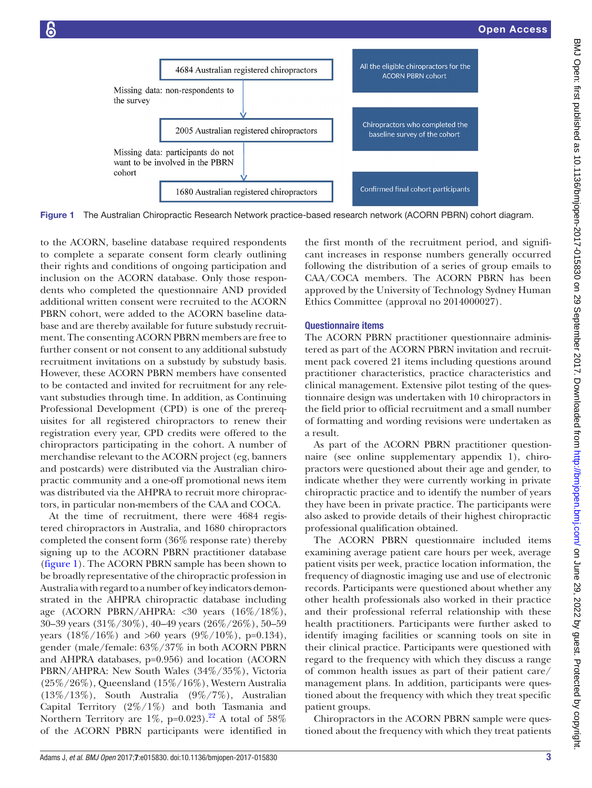

Figure 1 The Australian Chiropractic Research Network practice-based research network (ACORN PBRN) cohort diagram.

to the ACORN, baseline database required respondents to complete a separate consent form clearly outlining their rights and conditions of ongoing participation and inclusion on the ACORN database. Only those respondents who completed the questionnaire AND provided additional written consent were recruited to the ACORN PBRN cohort, were added to the ACORN baseline database and are thereby available for future substudy recruitment. The consenting ACORN PBRN members are free to further consent or not consent to any additional substudy recruitment invitations on a substudy by substudy basis. However, these ACORN PBRN members have consented to be contacted and invited for recruitment for any relevant substudies through time. In addition, as Continuing Professional Development (CPD) is one of the prerequisites for all registered chiropractors to renew their registration every year, CPD credits were offered to the chiropractors participating in the cohort. A number of merchandise relevant to the ACORN project (eg, banners and postcards) were distributed via the Australian chiropractic community and a one-off promotional news item was distributed via the AHPRA to recruit more chiropractors, in particular non-members of the CAA and COCA.

At the time of recruitment, there were 4684 registered chiropractors in Australia, and 1680 chiropractors completed the consent form (36% response rate) thereby signing up to the ACORN PBRN practitioner database ([figure](#page-2-0) 1). The ACORN PBRN sample has been shown to be broadly representative of the chiropractic profession in Australia with regard to a number of key indicators demonstrated in the AHPRA chiropractic database including age (ACORN PBRN/AHPRA:  $\langle 30 \rangle$  years (16%/18%), 30–39 years (31%/30%), 40–49 years (26%/26%), 50–59 years  $(18\%/16\%)$  and  $>60$  years  $(9\%/10\%)$ , p=0.134), gender (male/female: 63%/37% in both ACORN PBRN and AHPRA databases, p=0.956) and location (ACORN PBRN/AHPRA: New South Wales (34%/35%), Victoria (25%/26%), Queensland (15%/16%), Western Australia (13%/13%), South Australia (9%/7%), Australian Capital Territory (2%/1%) and both Tasmania and Northern Territory are  $1\%$ , p=0.023).<sup>22</sup> A total of 58% of the ACORN PBRN participants were identified in

<span id="page-2-0"></span>the first month of the recruitment period, and significant increases in response numbers generally occurred following the distribution of a series of group emails to CAA/COCA members. The ACORN PBRN has been approved by the University of Technology Sydney Human Ethics Committee (approval no 2014000027).

# Questionnaire items

The ACORN PBRN practitioner questionnaire administered as part of the ACORN PBRN invitation and recruitment pack covered 21 items including questions around practitioner characteristics, practice characteristics and clinical management. Extensive pilot testing of the questionnaire design was undertaken with 10 chiropractors in the field prior to official recruitment and a small number of formatting and wording revisions were undertaken as a result.

As part of the ACORN PBRN practitioner questionnaire (see online [supplementary appendix 1](https://dx.doi.org/10.1136/bmjopen-2017-015830)), chiropractors were questioned about their age and gender, to indicate whether they were currently working in private chiropractic practice and to identify the number of years they have been in private practice. The participants were also asked to provide details of their highest chiropractic professional qualification obtained.

The ACORN PBRN questionnaire included items examining average patient care hours per week, average patient visits per week, practice location information, the frequency of diagnostic imaging use and use of electronic records. Participants were questioned about whether any other health professionals also worked in their practice and their professional referral relationship with these health practitioners. Participants were further asked to identify imaging facilities or scanning tools on site in their clinical practice. Participants were questioned with regard to the frequency with which they discuss a range of common health issues as part of their patient care/ management plans. In addition, participants were questioned about the frequency with which they treat specific patient groups.

Chiropractors in the ACORN PBRN sample were questioned about the frequency with which they treat patients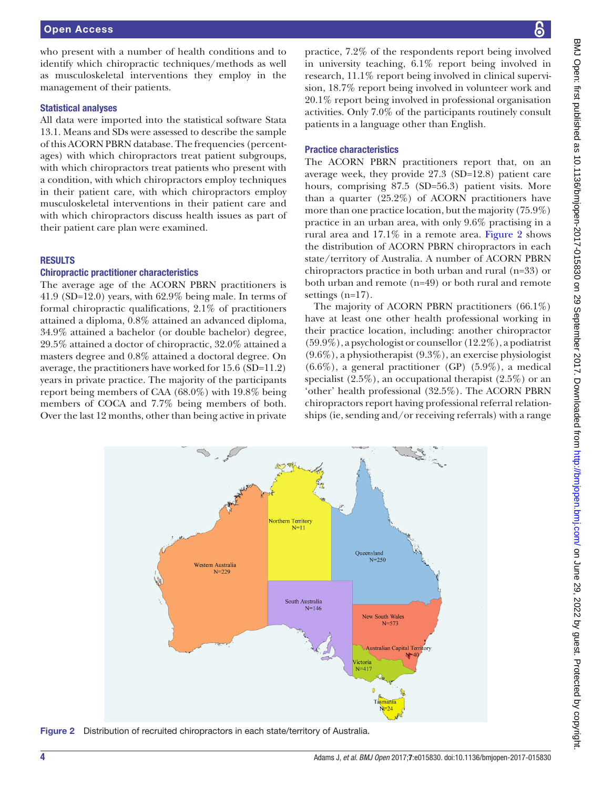who present with a number of health conditions and to identify which chiropractic techniques/methods as well as musculoskeletal interventions they employ in the management of their patients.

#### Statistical analyses

All data were imported into the statistical software Stata 13.1. Means and SDs were assessed to describe the sample of this ACORN PBRN database. The frequencies (percentages) with which chiropractors treat patient subgroups, with which chiropractors treat patients who present with a condition, with which chiropractors employ techniques in their patient care, with which chiropractors employ musculoskeletal interventions in their patient care and with which chiropractors discuss health issues as part of their patient care plan were examined.

#### **RESULTS**

#### Chiropractic practitioner characteristics

The average age of the ACORN PBRN practitioners is 41.9 (SD=12.0) years, with 62.9% being male. In terms of formal chiropractic qualifications, 2.1% of practitioners attained a diploma, 0.8% attained an advanced diploma, 34.9% attained a bachelor (or double bachelor) degree, 29.5% attained a doctor of chiropractic, 32.0% attained a masters degree and 0.8% attained a doctoral degree. On average, the practitioners have worked for 15.6 (SD=11.2) years in private practice. The majority of the participants report being members of CAA (68.0%) with 19.8% being members of COCA and 7.7% being members of both. Over the last 12 months, other than being active in private

practice, 7.2% of the respondents report being involved in university teaching, 6.1% report being involved in research, 11.1% report being involved in clinical supervision, 18.7% report being involved in volunteer work and 20.1% report being involved in professional organisation activities. Only 7.0% of the participants routinely consult patients in a language other than English.

# Practice characteristics

The ACORN PBRN practitioners report that, on an average week, they provide 27.3 (SD=12.8) patient care hours, comprising 87.5 (SD=56.3) patient visits. More than a quarter (25.2%) of ACORN practitioners have more than one practice location, but the majority (75.9%) practice in an urban area, with only 9.6% practising in a rural area and 17.1% in a remote area. [Figure](#page-3-0) 2 shows the distribution of ACORN PBRN chiropractors in each state/territory of Australia. A number of ACORN PBRN chiropractors practice in both urban and rural (n=33) or both urban and remote (n=49) or both rural and remote settings (n=17).

The majority of ACORN PBRN practitioners (66.1%) have at least one other health professional working in their practice location, including: another chiropractor (59.9%), a psychologist or counsellor (12.2%), a podiatrist (9.6%), a physiotherapist (9.3%), an exercise physiologist  $(6.6\%)$ , a general practitioner (GP)  $(5.9\%)$ , a medical specialist  $(2.5\%)$ , an occupational therapist  $(2.5\%)$  or an 'other' health professional (32.5%). The ACORN PBRN chiropractors report having professional referral relationships (ie, sending and/or receiving referrals) with a range

<span id="page-3-0"></span>

Western Australia  $N=220$ 

**Northern Territory**  $N=11$ 

> South Australia  $N = 146$

Oueensland  $N = 250$ 

 $N = 417$ 

New South Wales  $N = 573$ 

Australian Capital Territory

Figure 2 Distribution of recruited chiropractors in each state/territory of Australia.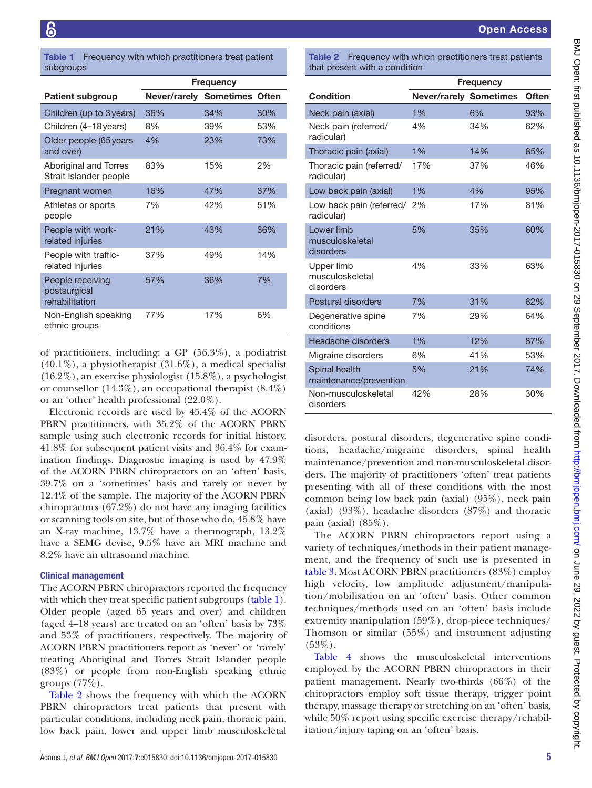<span id="page-4-0"></span>

|           |  | <b>Table 1</b> Frequency with which practitioners treat patient |  |
|-----------|--|-----------------------------------------------------------------|--|
| subgroups |  |                                                                 |  |

|                                                    | <b>Frequency</b> |                        |     |
|----------------------------------------------------|------------------|------------------------|-----|
| <b>Patient subgroup</b>                            | Never/rarely     | <b>Sometimes Often</b> |     |
| Children (up to 3 years)                           | 36%              | 34%                    | 30% |
| Children (4-18 years)                              | 8%               | 39%                    | 53% |
| Older people (65 years<br>and over)                | 4%               | 23%                    | 73% |
| Aboriginal and Torres<br>Strait Islander people    | 83%              | 15%                    | 2%  |
| Pregnant women                                     | 16%              | 47%                    | 37% |
| Athletes or sports<br>people                       | 7%               | 42%                    | 51% |
| People with work-<br>related injuries              | 21%              | 43%                    | 36% |
| People with traffic-<br>related injuries           | 37%              | 49%                    | 14% |
| People receiving<br>postsurgical<br>rehabilitation | 57%              | 36%                    | 7%  |
| Non-English speaking<br>ethnic groups              | 77%              | 17%                    | 6%  |

of practitioners, including: a GP (56.3%), a podiatrist  $(40.1\%)$ , a physiotherapist  $(31.6\%)$ , a medical specialist (16.2%), an exercise physiologist (15.8%), a psychologist or counsellor (14.3%), an occupational therapist (8.4%) or an 'other' health professional (22.0%).

Electronic records are used by 45.4% of the ACORN PBRN practitioners, with 35.2% of the ACORN PBRN sample using such electronic records for initial history, 41.8% for subsequent patient visits and 36.4% for examination findings. Diagnostic imaging is used by 47.9% of the ACORN PBRN chiropractors on an 'often' basis, 39.7% on a 'sometimes' basis and rarely or never by 12.4% of the sample. The majority of the ACORN PBRN chiropractors (67.2%) do not have any imaging facilities or scanning tools on site, but of those who do, 45.8% have an X-ray machine, 13.7% have a thermograph, 13.2% have a SEMG devise, 9.5% have an MRI machine and 8.2% have an ultrasound machine.

#### Clinical management

The ACORN PBRN chiropractors reported the frequency with which they treat specific patient subgroups [\(table](#page-4-0) 1). Older people (aged 65 years and over) and children (aged 4–18 years) are treated on an 'often' basis by 73% and 53% of practitioners, respectively. The majority of ACORN PBRN practitioners report as 'never' or 'rarely' treating Aboriginal and Torres Strait Islander people (83%) or people from non-English speaking ethnic groups  $(77\%)$ .

[Table](#page-4-1) 2 shows the frequency with which the ACORN PBRN chiropractors treat patients that present with particular conditions, including neck pain, thoracic pain, low back pain, lower and upper limb musculoskeletal Open Access

<span id="page-4-1"></span>Table 2 Frequency with which practitioners treat patients that present with a condition

|                                             | <b>Frequency</b>              |     |       |
|---------------------------------------------|-------------------------------|-----|-------|
| Condition                                   | <b>Never/rarely Sometimes</b> |     | Often |
| Neck pain (axial)                           | 1%                            | 6%  | 93%   |
| Neck pain (referred/<br>radicular)          | 4%                            | 34% | 62%   |
| Thoracic pain (axial)                       | 1%                            | 14% | 85%   |
| Thoracic pain (referred/<br>radicular)      | 17%                           | 37% | 46%   |
| Low back pain (axial)                       | 1%                            | 4%  | 95%   |
| Low back pain (referred/<br>radicular)      | 2%                            | 17% | 81%   |
| I ower limb<br>musculoskeletal<br>disorders | 5%                            | 35% | 60%   |
| Upper limb<br>musculoskeletal<br>disorders  | 4%                            | 33% | 63%   |
| <b>Postural disorders</b>                   | 7%                            | 31% | 62%   |
| Degenerative spine<br>conditions            | 7%                            | 29% | 64%   |
| Headache disorders                          | 1%                            | 12% | 87%   |
| Migraine disorders                          | 6%                            | 41% | 53%   |
| Spinal health<br>maintenance/prevention     | 5%                            | 21% | 74%   |
| Non-musculoskeletal<br>disorders            | 42%                           | 28% | 30%   |

disorders, postural disorders, degenerative spine conditions, headache/migraine disorders, spinal health maintenance/prevention and non-musculoskeletal disorders. The majority of practitioners 'often' treat patients presenting with all of these conditions with the most common being low back pain (axial) (95%), neck pain (axial) (93%), headache disorders (87%) and thoracic pain (axial)  $(85\%)$ .

The ACORN PBRN chiropractors report using a variety of techniques/methods in their patient management, and the frequency of such use is presented in [table](#page-5-0) 3. Most ACORN PBRN practitioners (83%) employ high velocity, low amplitude adjustment/manipulation/mobilisation on an 'often' basis. Other common techniques/methods used on an 'often' basis include extremity manipulation (59%), drop-piece techniques/ Thomson or similar (55%) and instrument adjusting  $(53\%)$ .

[Table](#page-5-1) 4 shows the musculoskeletal interventions employed by the ACORN PBRN chiropractors in their patient management. Nearly two-thirds (66%) of the chiropractors employ soft tissue therapy, trigger point therapy, massage therapy or stretching on an 'often' basis, while 50% report using specific exercise therapy/rehabilitation/injury taping on an 'often' basis.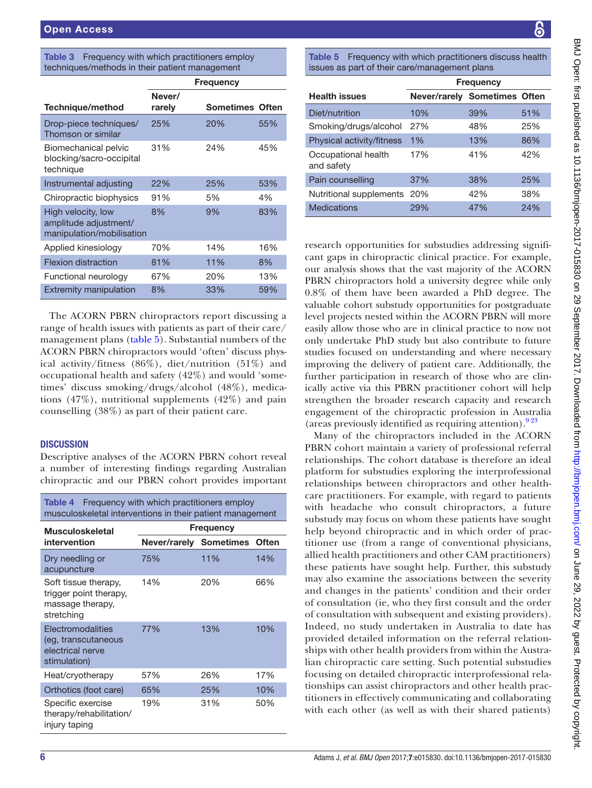#### <span id="page-5-0"></span>Table 3 Frequency with which practitioners employ techniques/methods in their patient management

|                                                                          | <b>Frequency</b> |                        |     |
|--------------------------------------------------------------------------|------------------|------------------------|-----|
| Technique/method                                                         | Never/<br>rarely | <b>Sometimes Often</b> |     |
| Drop-piece techniques/<br>Thomson or similar                             | 25%              | 20%                    | 55% |
| Biomechanical pelvic<br>blocking/sacro-occipital<br>technique            | 31%              | 24%                    | 45% |
| Instrumental adjusting                                                   | 22%              | 25%                    | 53% |
| Chiropractic biophysics                                                  | 91%              | 5%                     | 4%  |
| High velocity, low<br>amplitude adjustment/<br>manipulation/mobilisation | 8%               | 9%                     | 83% |
| Applied kinesiology                                                      | 70%              | 14%                    | 16% |
| <b>Flexion distraction</b>                                               | 81%              | 11%                    | 8%  |
| Functional neurology                                                     | 67%              | 20%                    | 13% |
| <b>Extremity manipulation</b>                                            | 8%               | 33%                    | 59% |

The ACORN PBRN chiropractors report discussing a range of health issues with patients as part of their care/ management plans [\(table](#page-5-2) 5). Substantial numbers of the ACORN PBRN chiropractors would 'often' discuss physical activity/fitness (86%), diet/nutrition (51%) and occupational health and safety (42%) and would 'sometimes' discuss smoking/drugs/alcohol (48%), medications (47%), nutritional supplements (42%) and pain counselling (38%) as part of their patient care.

# **DISCUSSION**

Descriptive analyses of the ACORN PBRN cohort reveal a number of interesting findings regarding Australian chiropractic and our PBRN cohort provides important

<span id="page-5-1"></span>

| Frequency with which practitioners employ<br>Table 4<br>musculoskeletal interventions in their patient management |                               |     |              |  |
|-------------------------------------------------------------------------------------------------------------------|-------------------------------|-----|--------------|--|
| <b>Musculoskeletal</b>                                                                                            | <b>Frequency</b>              |     |              |  |
| intervention                                                                                                      | <b>Never/rarely Sometimes</b> |     | <b>Often</b> |  |
| Dry needling or<br>acupuncture                                                                                    | 75%                           | 11% | 14%          |  |
| Soft tissue therapy,<br>trigger point therapy,<br>massage therapy,<br>stretching                                  | 14%                           | 20% | 66%          |  |
| <b>Flectromodalities</b><br>(eg, transcutaneous<br>electrical nerve<br>stimulation)                               | 77%                           | 13% | 10%          |  |
| Heat/cryotherapy                                                                                                  | 57%                           | 26% | 17%          |  |
| Orthotics (foot care)                                                                                             | 65%                           | 25% | 10%          |  |
| Specific exercise<br>therapy/rehabilitation/<br>injury taping                                                     | 19%                           | 31% | 50%          |  |

<span id="page-5-2"></span>Table 5 Frequency with which practitioners discuss health issues as part of their care/management plans

|                                   | <b>Frequency</b>                    |     |     |
|-----------------------------------|-------------------------------------|-----|-----|
| <b>Health issues</b>              | <b>Never/rarely Sometimes Often</b> |     |     |
| Diet/nutrition                    | 10%                                 | 39% | 51% |
| Smoking/drugs/alcohol             | 27%                                 | 48% | 25% |
| Physical activity/fitness         | 1%                                  | 13% | 86% |
| Occupational health<br>and safety | 17%                                 | 41% | 42% |
| Pain counselling                  | 37%                                 | 38% | 25% |
| Nutritional supplements 20%       |                                     | 42% | 38% |
| <b>Medications</b>                | 29%                                 | 47% | 24% |

research opportunities for substudies addressing significant gaps in chiropractic clinical practice. For example, our analysis shows that the vast majority of the ACORN PBRN chiropractors hold a university degree while only 0.8% of them have been awarded a PhD degree. The valuable cohort substudy opportunities for postgraduate level projects nested within the ACORN PBRN will more easily allow those who are in clinical practice to now not only undertake PhD study but also contribute to future studies focused on understanding and where necessary improving the delivery of patient care. Additionally, the further participation in research of those who are clinically active via this PBRN practitioner cohort will help strengthen the broader research capacity and research engagement of the chiropractic profession in Australia (areas previously identified as requiring attention). $923$ 

Many of the chiropractors included in the ACORN PBRN cohort maintain a variety of professional referral relationships. The cohort database is therefore an ideal platform for substudies exploring the interprofessional relationships between chiropractors and other healthcare practitioners. For example, with regard to patients with headache who consult chiropractors, a future substudy may focus on whom these patients have sought help beyond chiropractic and in which order of practitioner use (from a range of conventional physicians, allied health practitioners and other CAM practitioners) these patients have sought help. Further, this substudy may also examine the associations between the severity and changes in the patients' condition and their order of consultation (ie, who they first consult and the order of consultation with subsequent and existing providers). Indeed, no study undertaken in Australia to date has provided detailed information on the referral relationships with other health providers from within the Australian chiropractic care setting. Such potential substudies focusing on detailed chiropractic interprofessional relationships can assist chiropractors and other health practitioners in effectively communicating and collaborating with each other (as well as with their shared patients)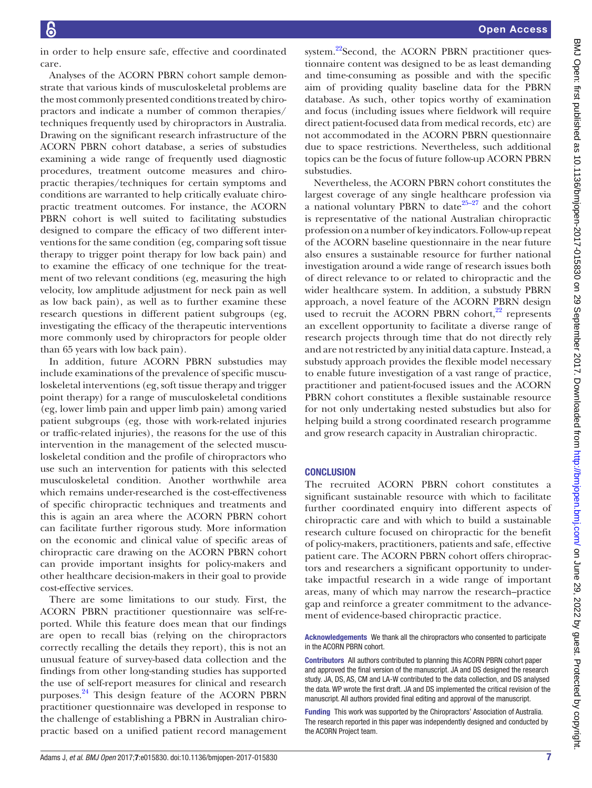in order to help ensure safe, effective and coordinated care.

Analyses of the ACORN PBRN cohort sample demonstrate that various kinds of musculoskeletal problems are the most commonly presented conditions treated by chiropractors and indicate a number of common therapies/ techniques frequently used by chiropractors in Australia. Drawing on the significant research infrastructure of the ACORN PBRN cohort database, a series of substudies examining a wide range of frequently used diagnostic procedures, treatment outcome measures and chiropractic therapies/techniques for certain symptoms and conditions are warranted to help critically evaluate chiropractic treatment outcomes. For instance, the ACORN PBRN cohort is well suited to facilitating substudies designed to compare the efficacy of two different interventions for the same condition (eg, comparing soft tissue therapy to trigger point therapy for low back pain) and to examine the efficacy of one technique for the treatment of two relevant conditions (eg, measuring the high velocity, low amplitude adjustment for neck pain as well as low back pain), as well as to further examine these research questions in different patient subgroups (eg, investigating the efficacy of the therapeutic interventions more commonly used by chiropractors for people older than 65 years with low back pain).

In addition, future ACORN PBRN substudies may include examinations of the prevalence of specific musculoskeletal interventions (eg, soft tissue therapy and trigger point therapy) for a range of musculoskeletal conditions (eg, lower limb pain and upper limb pain) among varied patient subgroups (eg, those with work-related injuries or traffic-related injuries), the reasons for the use of this intervention in the management of the selected musculoskeletal condition and the profile of chiropractors who use such an intervention for patients with this selected musculoskeletal condition. Another worthwhile area which remains under-researched is the cost-effectiveness of specific chiropractic techniques and treatments and this is again an area where the ACORN PBRN cohort can facilitate further rigorous study. More information on the economic and clinical value of specific areas of chiropractic care drawing on the ACORN PBRN cohort can provide important insights for policy-makers and other healthcare decision-makers in their goal to provide cost-effective services.

There are some limitations to our study. First, the ACORN PBRN practitioner questionnaire was self-reported. While this feature does mean that our findings are open to recall bias (relying on the chiropractors correctly recalling the details they report), this is not an unusual feature of survey-based data collection and the findings from other long-standing studies has supported the use of self-report measures for clinical and research purposes[.24](#page-7-12) This design feature of the ACORN PBRN practitioner questionnaire was developed in response to the challenge of establishing a PBRN in Australian chiropractic based on a unified patient record management

system.<sup>22</sup>Second, the ACORN PBRN practitioner questionnaire content was designed to be as least demanding and time-consuming as possible and with the specific aim of providing quality baseline data for the PBRN database. As such, other topics worthy of examination and focus (including issues where fieldwork will require direct patient-focused data from medical records, etc) are not accommodated in the ACORN PBRN questionnaire due to space restrictions. Nevertheless, such additional topics can be the focus of future follow-up ACORN PBRN substudies.

Nevertheless, the ACORN PBRN cohort constitutes the largest coverage of any single healthcare profession via a national voluntary PBRN to date $25-27$  and the cohort is representative of the national Australian chiropractic profession on a number of key indicators. Follow-up repeat of the ACORN baseline questionnaire in the near future also ensures a sustainable resource for further national investigation around a wide range of research issues both of direct relevance to or related to chiropractic and the wider healthcare system. In addition, a substudy PBRN approach, a novel feature of the ACORN PBRN design used to recruit the ACORN PBRN cohort, $22$  represents an excellent opportunity to facilitate a diverse range of research projects through time that do not directly rely and are not restricted by any initial data capture. Instead, a substudy approach provides the flexible model necessary to enable future investigation of a vast range of practice, practitioner and patient-focused issues and the ACORN PBRN cohort constitutes a flexible sustainable resource for not only undertaking nested substudies but also for helping build a strong coordinated research programme and grow research capacity in Australian chiropractic.

#### **CONCLUSION**

The recruited ACORN PBRN cohort constitutes a significant sustainable resource with which to facilitate further coordinated enquiry into different aspects of chiropractic care and with which to build a sustainable research culture focused on chiropractic for the benefit of policy-makers, practitioners, patients and safe, effective patient care. The ACORN PBRN cohort offers chiropractors and researchers a significant opportunity to undertake impactful research in a wide range of important areas, many of which may narrow the research–practice gap and reinforce a greater commitment to the advancement of evidence-based chiropractic practice.

Acknowledgements We thank all the chiropractors who consented to participate in the ACORN PBRN cohort.

Contributors All authors contributed to planning this ACORN PBRN cohort paper and approved the final version of the manuscript. JA and DS designed the research study. JA, DS, AS, CM and LA-W contributed to the data collection, and DS analysed the data. WP wrote the first draft. JA and DS implemented the critical revision of the manuscript. All authors provided final editing and approval of the manuscript.

Funding This work was supported by the Chiropractors' Association of Australia. The research reported in this paper was independently designed and conducted by the ACORN Project team.